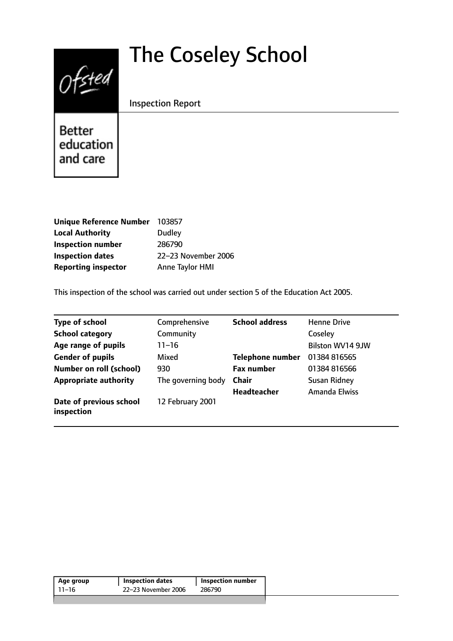# $0$ fsted

# The Coseley School

Inspection Report

Better education and care

| <b>Unique Reference Number</b> | 103857              |
|--------------------------------|---------------------|
| <b>Local Authority</b>         | <b>Dudley</b>       |
| <b>Inspection number</b>       | 286790              |
| <b>Inspection dates</b>        | 22-23 November 2006 |
| <b>Reporting inspector</b>     | Anne Taylor HMI     |

This inspection of the school was carried out under section 5 of the Education Act 2005.

| <b>Type of school</b>                 | Comprehensive      | <b>School address</b>   | <b>Henne Drive</b>   |
|---------------------------------------|--------------------|-------------------------|----------------------|
| <b>School category</b>                | Community          |                         | Coseley              |
| Age range of pupils                   | $11 - 16$          |                         | Bilston WV14 9JW     |
| <b>Gender of pupils</b>               | Mixed              | <b>Telephone number</b> | 01384 816565         |
| <b>Number on roll (school)</b>        | 930                | <b>Fax number</b>       | 01384 816566         |
| <b>Appropriate authority</b>          | The governing body | <b>Chair</b>            | Susan Ridney         |
|                                       |                    | <b>Headteacher</b>      | <b>Amanda Elwiss</b> |
| Date of previous school<br>inspection | 12 February 2001   |                         |                      |

| 22–23 November 2006<br>286790<br>11–16 | Age group | <b>Inspection dates</b> | <b>Inspection number</b> |
|----------------------------------------|-----------|-------------------------|--------------------------|
|                                        |           |                         |                          |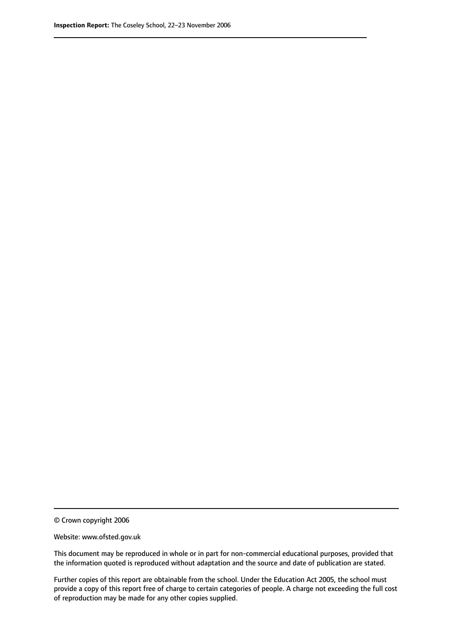© Crown copyright 2006

Website: www.ofsted.gov.uk

This document may be reproduced in whole or in part for non-commercial educational purposes, provided that the information quoted is reproduced without adaptation and the source and date of publication are stated.

Further copies of this report are obtainable from the school. Under the Education Act 2005, the school must provide a copy of this report free of charge to certain categories of people. A charge not exceeding the full cost of reproduction may be made for any other copies supplied.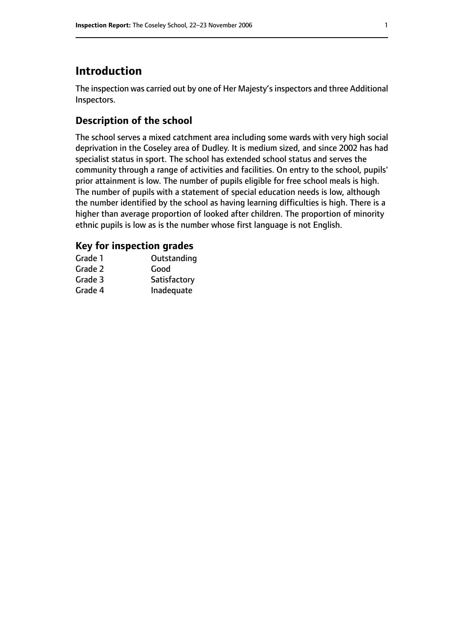# **Introduction**

The inspection was carried out by one of Her Majesty's inspectors and three Additional Inspectors.

# **Description of the school**

The school serves a mixed catchment area including some wards with very high social deprivation in the Coseley area of Dudley. It is medium sized, and since 2002 has had specialist status in sport. The school has extended school status and serves the community through a range of activities and facilities. On entry to the school, pupils' prior attainment is low. The number of pupils eligible for free school meals is high. The number of pupils with a statement of special education needs is low, although the number identified by the school as having learning difficulties is high. There is a higher than average proportion of looked after children. The proportion of minority ethnic pupils is low as is the number whose first language is not English.

#### **Key for inspection grades**

| Grade 1 | Outstanding  |
|---------|--------------|
| Grade 2 | Good         |
| Grade 3 | Satisfactory |
| Grade 4 | Inadequate   |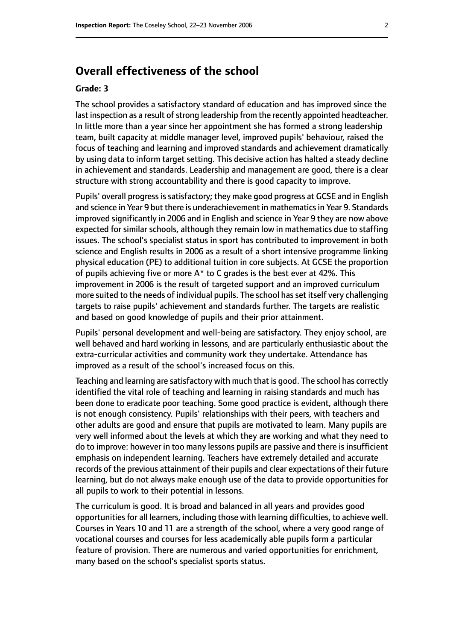# **Overall effectiveness of the school**

#### **Grade: 3**

The school provides a satisfactory standard of education and has improved since the last inspection as a result of strong leadership from the recently appointed headteacher. In little more than a year since her appointment she has formed a strong leadership team, built capacity at middle manager level, improved pupils' behaviour, raised the focus of teaching and learning and improved standards and achievement dramatically by using data to inform target setting. This decisive action has halted a steady decline in achievement and standards. Leadership and management are good, there is a clear structure with strong accountability and there is good capacity to improve.

Pupils' overall progress is satisfactory; they make good progress at GCSE and in English and science in Year 9 but there is underachievement in mathematicsin Year 9. Standards improved significantly in 2006 and in English and science in Year 9 they are now above expected for similar schools, although they remain low in mathematics due to staffing issues. The school's specialist status in sport has contributed to improvement in both science and English results in 2006 as a result of a short intensive programme linking physical education (PE) to additional tuition in core subjects. At GCSE the proportion of pupils achieving five or more A\* to C grades is the best ever at 42%. This improvement in 2006 is the result of targeted support and an improved curriculum more suited to the needs of individual pupils. The school hasset itself very challenging targets to raise pupils' achievement and standards further. The targets are realistic and based on good knowledge of pupils and their prior attainment.

Pupils' personal development and well-being are satisfactory. They enjoy school, are well behaved and hard working in lessons, and are particularly enthusiastic about the extra-curricular activities and community work they undertake. Attendance has improved as a result of the school's increased focus on this.

Teaching and learning are satisfactory with much that is good. The school has correctly identified the vital role of teaching and learning in raising standards and much has been done to eradicate poor teaching. Some good practice is evident, although there is not enough consistency. Pupils' relationships with their peers, with teachers and other adults are good and ensure that pupils are motivated to learn. Many pupils are very well informed about the levels at which they are working and what they need to do to improve: however in too many lessons pupils are passive and there is insufficient emphasis on independent learning. Teachers have extremely detailed and accurate records of the previous attainment of their pupils and clear expectations of their future learning, but do not always make enough use of the data to provide opportunities for all pupils to work to their potential in lessons.

The curriculum is good. It is broad and balanced in all years and provides good opportunities for all learners, including those with learning difficulties, to achieve well. Courses in Years 10 and 11 are a strength of the school, where a very good range of vocational courses and courses for less academically able pupils form a particular feature of provision. There are numerous and varied opportunities for enrichment, many based on the school's specialist sports status.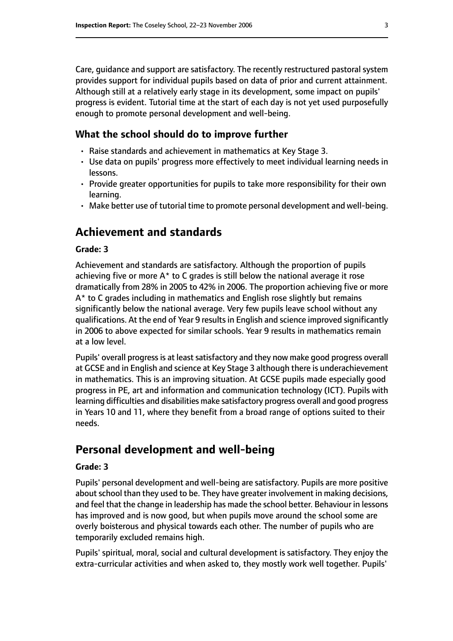Care, guidance and support are satisfactory. The recently restructured pastoral system provides support for individual pupils based on data of prior and current attainment. Although still at a relatively early stage in its development, some impact on pupils' progress is evident. Tutorial time at the start of each day is not yet used purposefully enough to promote personal development and well-being.

#### **What the school should do to improve further**

- Raise standards and achievement in mathematics at Key Stage 3.
- Use data on pupils' progress more effectively to meet individual learning needs in lessons.
- Provide greater opportunities for pupils to take more responsibility for their own learning.
- Make better use of tutorial time to promote personal development and well-being.

# **Achievement and standards**

#### **Grade: 3**

Achievement and standards are satisfactory. Although the proportion of pupils achieving five or more  $A^*$  to C grades is still below the national average it rose dramatically from 28% in 2005 to 42% in 2006. The proportion achieving five or more A\* to C grades including in mathematics and English rose slightly but remains significantly below the national average. Very few pupils leave school without any qualifications. At the end of Year 9 resultsin English and science improved significantly in 2006 to above expected for similar schools. Year 9 results in mathematics remain at a low level.

Pupils' overall progress is at least satisfactory and they now make good progress overall at GCSE and in English and science at Key Stage 3 although there is underachievement in mathematics. This is an improving situation. At GCSE pupils made especially good progress in PE, art and information and communication technology (ICT). Pupils with learning difficulties and disabilities make satisfactory progress overall and good progress in Years 10 and 11, where they benefit from a broad range of options suited to their needs.

# **Personal development and well-being**

#### **Grade: 3**

Pupils' personal development and well-being are satisfactory. Pupils are more positive about school than they used to be. They have greater involvement in making decisions, and feel that the change in leadership has made the school better. Behaviour in lessons has improved and is now good, but when pupils move around the school some are overly boisterous and physical towards each other. The number of pupils who are temporarily excluded remains high.

Pupils' spiritual, moral, social and cultural development is satisfactory. They enjoy the extra-curricular activities and when asked to, they mostly work well together. Pupils'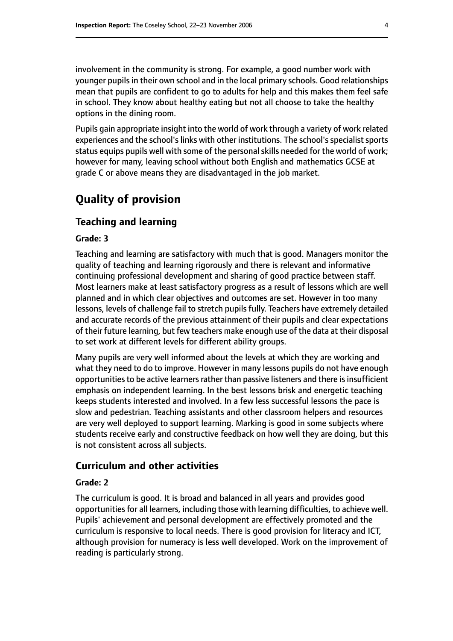involvement in the community is strong. For example, a good number work with younger pupils in their own school and in the local primary schools. Good relationships mean that pupils are confident to go to adults for help and this makes them feel safe in school. They know about healthy eating but not all choose to take the healthy options in the dining room.

Pupils gain appropriate insight into the world of work through a variety of work related experiences and the school's links with other institutions. The school's specialist sports status equips pupils well with some of the personal skills needed for the world of work; however for many, leaving school without both English and mathematics GCSE at grade C or above means they are disadvantaged in the job market.

# **Quality of provision**

#### **Teaching and learning**

#### **Grade: 3**

Teaching and learning are satisfactory with much that is good. Managers monitor the quality of teaching and learning rigorously and there is relevant and informative continuing professional development and sharing of good practice between staff. Most learners make at least satisfactory progress as a result of lessons which are well planned and in which clear objectives and outcomes are set. However in too many lessons, levels of challenge fail to stretch pupils fully. Teachers have extremely detailed and accurate records of the previous attainment of their pupils and clear expectations of their future learning, but few teachers make enough use of the data at their disposal to set work at different levels for different ability groups.

Many pupils are very well informed about the levels at which they are working and what they need to do to improve. However in many lessons pupils do not have enough opportunities to be active learners rather than passive listeners and there is insufficient emphasis on independent learning. In the best lessons brisk and energetic teaching keeps students interested and involved. In a few less successful lessons the pace is slow and pedestrian. Teaching assistants and other classroom helpers and resources are very well deployed to support learning. Marking is good in some subjects where students receive early and constructive feedback on how well they are doing, but this is not consistent across all subjects.

#### **Curriculum and other activities**

#### **Grade: 2**

The curriculum is good. It is broad and balanced in all years and provides good opportunities for all learners, including those with learning difficulties, to achieve well. Pupils' achievement and personal development are effectively promoted and the curriculum is responsive to local needs. There is good provision for literacy and ICT, although provision for numeracy is less well developed. Work on the improvement of reading is particularly strong.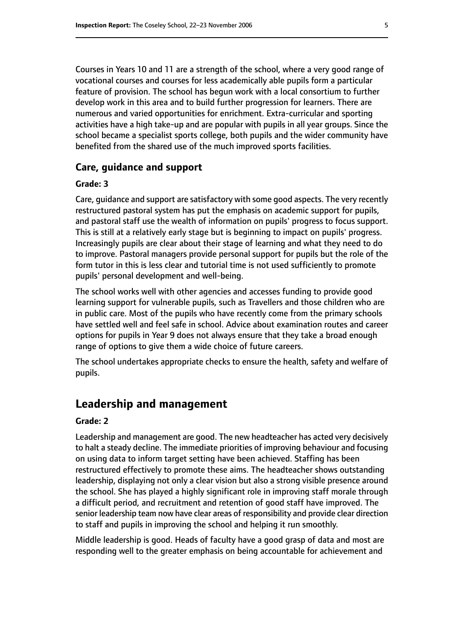Courses in Years 10 and 11 are a strength of the school, where a very good range of vocational courses and courses for less academically able pupils form a particular feature of provision. The school has begun work with a local consortium to further develop work in this area and to build further progression for learners. There are numerous and varied opportunities for enrichment. Extra-curricular and sporting activities have a high take-up and are popular with pupils in all year groups. Since the school became a specialist sports college, both pupils and the wider community have benefited from the shared use of the much improved sports facilities.

#### **Care, guidance and support**

#### **Grade: 3**

Care, guidance and support are satisfactory with some good aspects. The very recently restructured pastoral system has put the emphasis on academic support for pupils, and pastoral staff use the wealth of information on pupils' progress to focus support. This is still at a relatively early stage but is beginning to impact on pupils' progress. Increasingly pupils are clear about their stage of learning and what they need to do to improve. Pastoral managers provide personal support for pupils but the role of the form tutor in this is less clear and tutorial time is not used sufficiently to promote pupils' personal development and well-being.

The school works well with other agencies and accesses funding to provide good learning support for vulnerable pupils, such as Travellers and those children who are in public care. Most of the pupils who have recently come from the primary schools have settled well and feel safe in school. Advice about examination routes and career options for pupils in Year 9 does not always ensure that they take a broad enough range of options to give them a wide choice of future careers.

The school undertakes appropriate checks to ensure the health, safety and welfare of pupils.

# **Leadership and management**

#### **Grade: 2**

Leadership and management are good. The new headteacher has acted very decisively to halt a steady decline. The immediate priorities of improving behaviour and focusing on using data to inform target setting have been achieved. Staffing has been restructured effectively to promote these aims. The headteacher shows outstanding leadership, displaying not only a clear vision but also a strong visible presence around the school. She has played a highly significant role in improving staff morale through a difficult period, and recruitment and retention of good staff have improved. The senior leadership team now have clear areas of responsibility and provide clear direction to staff and pupils in improving the school and helping it run smoothly.

Middle leadership is good. Heads of faculty have a good grasp of data and most are responding well to the greater emphasis on being accountable for achievement and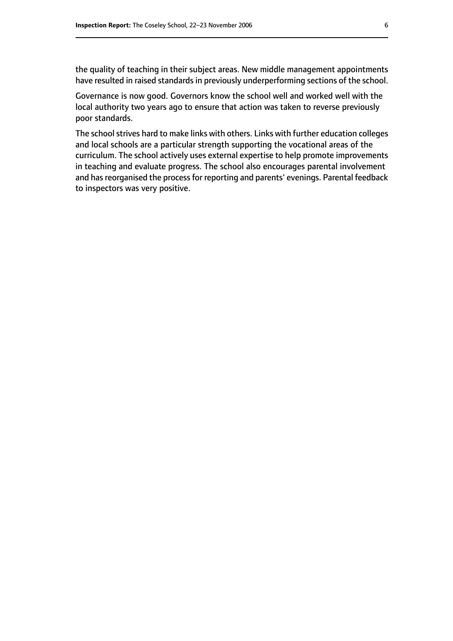the quality of teaching in their subject areas. New middle management appointments have resulted in raised standards in previously underperforming sections of the school.

Governance is now good. Governors know the school well and worked well with the local authority two years ago to ensure that action was taken to reverse previously poor standards.

The school strives hard to make links with others. Links with further education colleges and local schools are a particular strength supporting the vocational areas of the curriculum. The school actively uses external expertise to help promote improvements in teaching and evaluate progress. The school also encourages parental involvement and has reorganised the process for reporting and parents' evenings. Parental feedback to inspectors was very positive.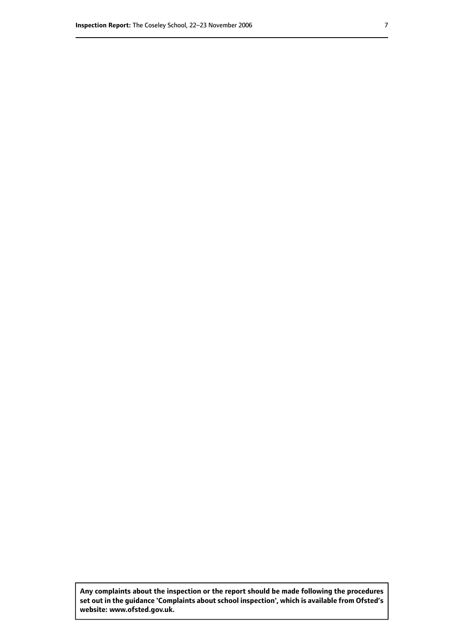**Any complaints about the inspection or the report should be made following the procedures set out inthe guidance 'Complaints about school inspection', whichis available from Ofsted's website: www.ofsted.gov.uk.**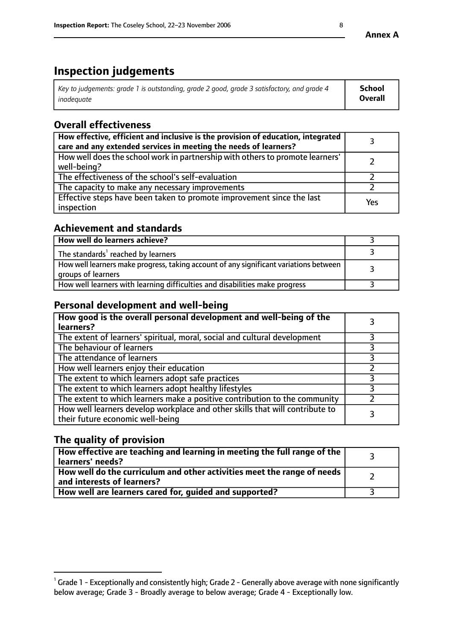# **Inspection judgements**

| $^{\circ}$ Key to judgements: grade 1 is outstanding, grade 2 good, grade 3 satisfactory, and grade 4 $^{\circ}$ | School         |
|------------------------------------------------------------------------------------------------------------------|----------------|
| inadequate                                                                                                       | <b>Overall</b> |

# **Overall effectiveness**

| How effective, efficient and inclusive is the provision of education, integrated<br>care and any extended services in meeting the needs of learners? |     |
|------------------------------------------------------------------------------------------------------------------------------------------------------|-----|
| How well does the school work in partnership with others to promote learners'<br>well-being?                                                         |     |
| The effectiveness of the school's self-evaluation                                                                                                    |     |
| The capacity to make any necessary improvements                                                                                                      |     |
| Effective steps have been taken to promote improvement since the last<br>inspection                                                                  | Yes |

#### **Achievement and standards**

| How well do learners achieve?                                                                               |  |
|-------------------------------------------------------------------------------------------------------------|--|
| The standards <sup>1</sup> reached by learners                                                              |  |
| How well learners make progress, taking account of any significant variations between<br>groups of learners |  |
| How well learners with learning difficulties and disabilities make progress                                 |  |

# **Personal development and well-being**

| How good is the overall personal development and well-being of the<br>learners?                                  |  |
|------------------------------------------------------------------------------------------------------------------|--|
| The extent of learners' spiritual, moral, social and cultural development                                        |  |
| The behaviour of learners                                                                                        |  |
| The attendance of learners                                                                                       |  |
| How well learners enjoy their education                                                                          |  |
| The extent to which learners adopt safe practices                                                                |  |
| The extent to which learners adopt healthy lifestyles                                                            |  |
| The extent to which learners make a positive contribution to the community                                       |  |
| How well learners develop workplace and other skills that will contribute to<br>their future economic well-being |  |

# **The quality of provision**

| How effective are teaching and learning in meeting the full range of the<br>learners' needs?          |  |
|-------------------------------------------------------------------------------------------------------|--|
| How well do the curriculum and other activities meet the range of needs<br>and interests of learners? |  |
| How well are learners cared for, guided and supported?                                                |  |

 $^1$  Grade 1 - Exceptionally and consistently high; Grade 2 - Generally above average with none significantly below average; Grade 3 - Broadly average to below average; Grade 4 - Exceptionally low.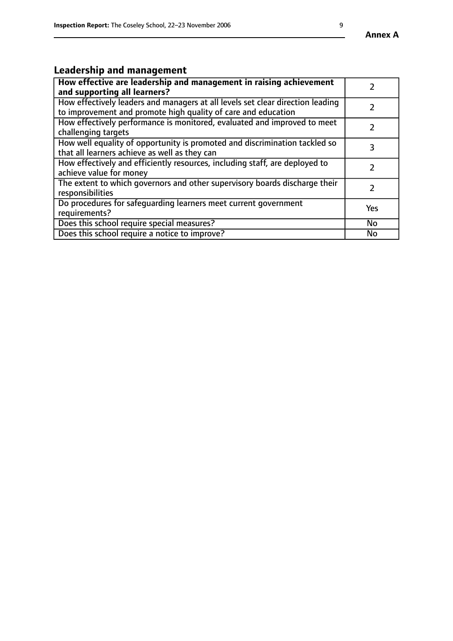# **Leadership and management**

| How effective are leadership and management in raising achievement<br>and supporting all learners?                                              |               |
|-------------------------------------------------------------------------------------------------------------------------------------------------|---------------|
| How effectively leaders and managers at all levels set clear direction leading<br>to improvement and promote high quality of care and education |               |
| How effectively performance is monitored, evaluated and improved to meet<br>challenging targets                                                 | $\mathcal{L}$ |
| How well equality of opportunity is promoted and discrimination tackled so<br>that all learners achieve as well as they can                     |               |
| How effectively and efficiently resources, including staff, are deployed to<br>achieve value for money                                          |               |
| The extent to which governors and other supervisory boards discharge their<br>responsibilities                                                  |               |
| Do procedures for safequarding learners meet current government<br>requirements?                                                                | Yes           |
| Does this school require special measures?                                                                                                      | No            |
| Does this school require a notice to improve?                                                                                                   | <b>No</b>     |